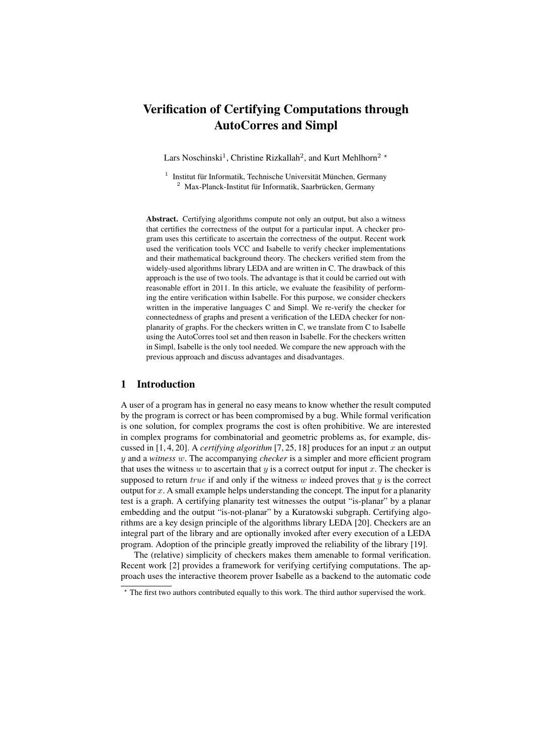# Verification of Certifying Computations through AutoCorres and Simpl

Lars Noschinski<sup>1</sup>, Christine Rizkallah<sup>2</sup>, and Kurt Mehlhorn<sup>2</sup><sup>\*</sup>

<sup>1</sup> Institut für Informatik, Technische Universität München, Germany <sup>2</sup> Max-Planck-Institut für Informatik, Saarbrücken, Germany

Abstract. Certifying algorithms compute not only an output, but also a witness that certifies the correctness of the output for a particular input. A checker program uses this certificate to ascertain the correctness of the output. Recent work used the verification tools VCC and Isabelle to verify checker implementations and their mathematical background theory. The checkers verified stem from the widely-used algorithms library LEDA and are written in C. The drawback of this approach is the use of two tools. The advantage is that it could be carried out with reasonable effort in 2011. In this article, we evaluate the feasibility of performing the entire verification within Isabelle. For this purpose, we consider checkers written in the imperative languages C and Simpl. We re-verify the checker for connectedness of graphs and present a verification of the LEDA checker for nonplanarity of graphs. For the checkers written in C, we translate from C to Isabelle using the AutoCorres tool set and then reason in Isabelle. For the checkers written in Simpl, Isabelle is the only tool needed. We compare the new approach with the previous approach and discuss advantages and disadvantages.

### 1 Introduction

A user of a program has in general no easy means to know whether the result computed by the program is correct or has been compromised by a bug. While formal verification is one solution, for complex programs the cost is often prohibitive. We are interested in complex programs for combinatorial and geometric problems as, for example, discussed in  $[1, 4, 20]$ . A *certifying algorithm*  $[7, 25, 18]$  produces for an input x an output y and a *witness* w. The accompanying *checker* is a simpler and more efficient program that uses the witness  $w$  to ascertain that  $y$  is a correct output for input  $x$ . The checker is supposed to return true if and only if the witness w indeed proves that  $y$  is the correct output for  $x$ . A small example helps understanding the concept. The input for a planarity test is a graph. A certifying planarity test witnesses the output "is-planar" by a planar embedding and the output "is-not-planar" by a Kuratowski subgraph. Certifying algorithms are a key design principle of the algorithms library LEDA [20]. Checkers are an integral part of the library and are optionally invoked after every execution of a LEDA program. Adoption of the principle greatly improved the reliability of the library [19].

The (relative) simplicity of checkers makes them amenable to formal verification. Recent work [2] provides a framework for verifying certifying computations. The approach uses the interactive theorem prover Isabelle as a backend to the automatic code

<sup>?</sup> The first two authors contributed equally to this work. The third author supervised the work.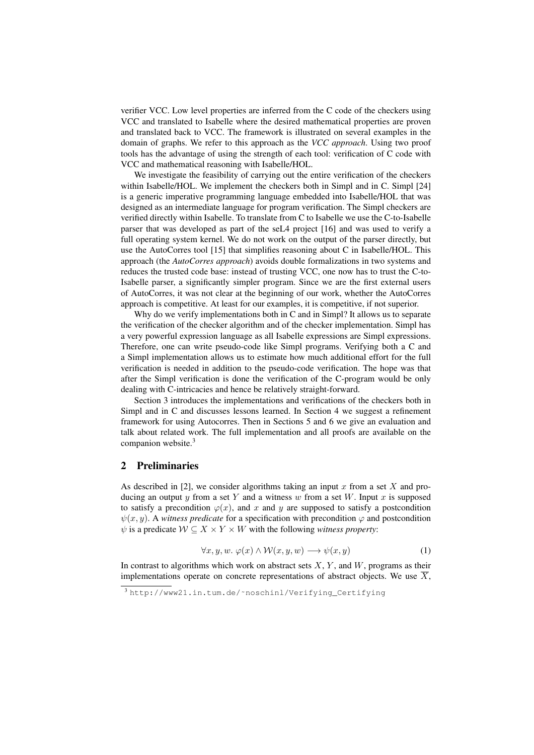verifier VCC. Low level properties are inferred from the C code of the checkers using VCC and translated to Isabelle where the desired mathematical properties are proven and translated back to VCC. The framework is illustrated on several examples in the domain of graphs. We refer to this approach as the *VCC approach*. Using two proof tools has the advantage of using the strength of each tool: verification of C code with VCC and mathematical reasoning with Isabelle/HOL.

We investigate the feasibility of carrying out the entire verification of the checkers within Isabelle/HOL. We implement the checkers both in Simpl and in C. Simpl [24] is a generic imperative programming language embedded into Isabelle/HOL that was designed as an intermediate language for program verification. The Simpl checkers are verified directly within Isabelle. To translate from C to Isabelle we use the C-to-Isabelle parser that was developed as part of the seL4 project [16] and was used to verify a full operating system kernel. We do not work on the output of the parser directly, but use the AutoCorres tool [15] that simplifies reasoning about C in Isabelle/HOL. This approach (the *AutoCorres approach*) avoids double formalizations in two systems and reduces the trusted code base: instead of trusting VCC, one now has to trust the C-to-Isabelle parser, a significantly simpler program. Since we are the first external users of AutoCorres, it was not clear at the beginning of our work, whether the AutoCorres approach is competitive. At least for our examples, it is competitive, if not superior.

Why do we verify implementations both in C and in Simpl? It allows us to separate the verification of the checker algorithm and of the checker implementation. Simpl has a very powerful expression language as all Isabelle expressions are Simpl expressions. Therefore, one can write pseudo-code like Simpl programs. Verifying both a C and a Simpl implementation allows us to estimate how much additional effort for the full verification is needed in addition to the pseudo-code verification. The hope was that after the Simpl verification is done the verification of the C-program would be only dealing with C-intricacies and hence be relatively straight-forward.

Section 3 introduces the implementations and verifications of the checkers both in Simpl and in C and discusses lessons learned. In Section 4 we suggest a refinement framework for using Autocorres. Then in Sections 5 and 6 we give an evaluation and talk about related work. The full implementation and all proofs are available on the companion website.<sup>3</sup>

### 2 Preliminaries

As described in [2], we consider algorithms taking an input  $x$  from a set  $X$  and producing an output y from a set Y and a witness w from a set W. Input x is supposed to satisfy a precondition  $\varphi(x)$ , and x and y are supposed to satisfy a postcondition  $\psi(x, y)$ . A *witness predicate* for a specification with precondition  $\varphi$  and postcondition  $\psi$  is a predicate  $W \subseteq X \times Y \times W$  with the following *witness property*:

$$
\forall x, y, w. \varphi(x) \land \mathcal{W}(x, y, w) \longrightarrow \psi(x, y)
$$
 (1)

In contrast to algorithms which work on abstract sets  $X, Y$ , and  $W$ , programs as their implementations operate on concrete representations of abstract objects. We use  $\overline{X}$ ,

<sup>3</sup> http://www21.in.tum.de/˜noschinl/Verifying\_Certifying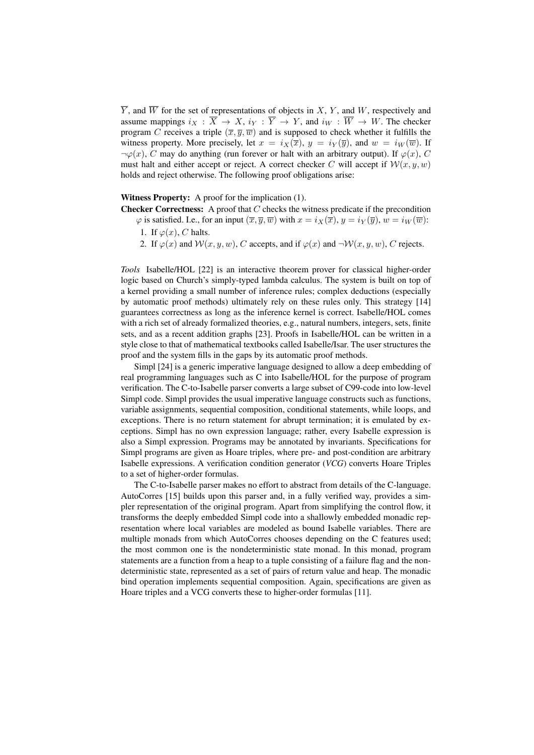$\overline{Y}$ , and  $\overline{W}$  for the set of representations of objects in X, Y, and W, respectively and assume mappings  $i_X : \overline{X} \to X$ ,  $i_Y : \overline{Y} \to Y$ , and  $i_W : \overline{W} \to W$ . The checker program C receives a triple  $(\overline{x}, \overline{y}, \overline{w})$  and is supposed to check whether it fulfills the witness property. More precisely, let  $x = i_X(\overline{x})$ ,  $y = i_Y(\overline{y})$ , and  $w = i_W(\overline{w})$ . If  $\neg \varphi(x)$ , C may do anything (run forever or halt with an arbitrary output). If  $\varphi(x)$ , C must halt and either accept or reject. A correct checker C will accept if  $W(x, y, w)$ holds and reject otherwise. The following proof obligations arise:

#### Witness Property: A proof for the implication (1).

**Checker Correctness:** A proof that  $C$  checks the witness predicate if the precondition

- $\varphi$  is satisfied. I.e., for an input  $(\overline{x}, \overline{y}, \overline{w})$  with  $x = i_X(\overline{x}), y = i_Y(\overline{y}), w = i_W(\overline{w})$ :
	- 1. If  $\varphi(x)$ , C halts.
	- 2. If  $\varphi(x)$  and  $\mathcal{W}(x, y, w)$ , C accepts, and if  $\varphi(x)$  and  $\neg \mathcal{W}(x, y, w)$ , C rejects.

*Tools* Isabelle/HOL [22] is an interactive theorem prover for classical higher-order logic based on Church's simply-typed lambda calculus. The system is built on top of a kernel providing a small number of inference rules; complex deductions (especially by automatic proof methods) ultimately rely on these rules only. This strategy [14] guarantees correctness as long as the inference kernel is correct. Isabelle/HOL comes with a rich set of already formalized theories, e.g., natural numbers, integers, sets, finite sets, and as a recent addition graphs [23]. Proofs in Isabelle/HOL can be written in a style close to that of mathematical textbooks called Isabelle/Isar. The user structures the proof and the system fills in the gaps by its automatic proof methods.

Simpl [24] is a generic imperative language designed to allow a deep embedding of real programming languages such as C into Isabelle/HOL for the purpose of program verification. The C-to-Isabelle parser converts a large subset of C99-code into low-level Simpl code. Simpl provides the usual imperative language constructs such as functions, variable assignments, sequential composition, conditional statements, while loops, and exceptions. There is no return statement for abrupt termination; it is emulated by exceptions. Simpl has no own expression language; rather, every Isabelle expression is also a Simpl expression. Programs may be annotated by invariants. Specifications for Simpl programs are given as Hoare triples, where pre- and post-condition are arbitrary Isabelle expressions. A verification condition generator (*VCG*) converts Hoare Triples to a set of higher-order formulas.

The C-to-Isabelle parser makes no effort to abstract from details of the C-language. AutoCorres [15] builds upon this parser and, in a fully verified way, provides a simpler representation of the original program. Apart from simplifying the control flow, it transforms the deeply embedded Simpl code into a shallowly embedded monadic representation where local variables are modeled as bound Isabelle variables. There are multiple monads from which AutoCorres chooses depending on the C features used; the most common one is the nondeterministic state monad. In this monad, program statements are a function from a heap to a tuple consisting of a failure flag and the nondeterministic state, represented as a set of pairs of return value and heap. The monadic bind operation implements sequential composition. Again, specifications are given as Hoare triples and a VCG converts these to higher-order formulas [11].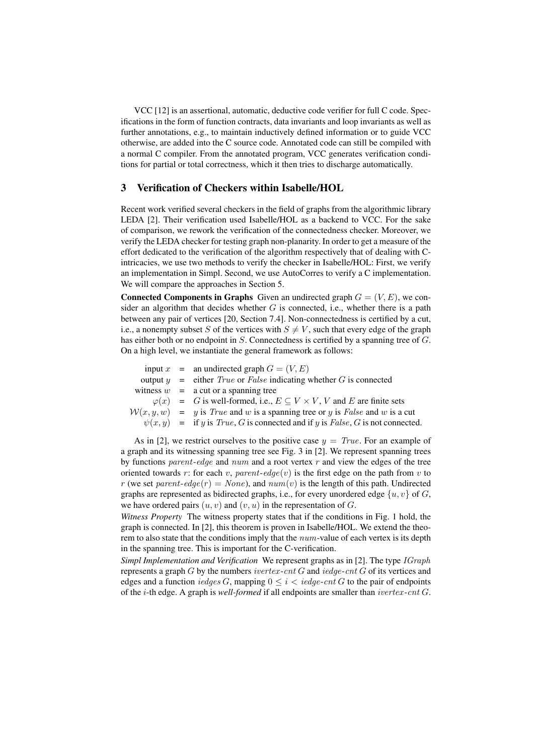VCC [12] is an assertional, automatic, deductive code verifier for full C code. Specifications in the form of function contracts, data invariants and loop invariants as well as further annotations, e.g., to maintain inductively defined information or to guide VCC otherwise, are added into the C source code. Annotated code can still be compiled with a normal C compiler. From the annotated program, VCC generates verification conditions for partial or total correctness, which it then tries to discharge automatically.

### 3 Verification of Checkers within Isabelle/HOL

Recent work verified several checkers in the field of graphs from the algorithmic library LEDA [2]. Their verification used Isabelle/HOL as a backend to VCC. For the sake of comparison, we rework the verification of the connectedness checker. Moreover, we verify the LEDA checker for testing graph non-planarity. In order to get a measure of the effort dedicated to the verification of the algorithm respectively that of dealing with Cintricacies, we use two methods to verify the checker in Isabelle/HOL: First, we verify an implementation in Simpl. Second, we use AutoCorres to verify a C implementation. We will compare the approaches in Section 5.

**Connected Components in Graphs** Given an undirected graph  $G = (V, E)$ , we consider an algorithm that decides whether  $G$  is connected, i.e., whether there is a path between any pair of vertices [20, Section 7.4]. Non-connectedness is certified by a cut, i.e., a nonempty subset S of the vertices with  $S \neq V$ , such that every edge of the graph has either both or no endpoint in S. Connectedness is certified by a spanning tree of G. On a high level, we instantiate the general framework as follows:

|  | input $x =$ an undirected graph $G = (V, E)$                                              |
|--|-------------------------------------------------------------------------------------------|
|  | output $y =$ either <i>True</i> or <i>False</i> indicating whether <i>G</i> is connected  |
|  | witness $w = a$ cut or a spanning tree                                                    |
|  | $\varphi(x)$ = G is well-formed, i.e., $E \subseteq V \times V$ , V and E are finite sets |
|  | $\mathcal{W}(x, y, w) = y$ is True and w is a spanning tree or y is False and w is a cut  |
|  | $\psi(x, y)$ = if y is True, G is connected and if y is False, G is not connected.        |

As in [2], we restrict ourselves to the positive case  $y = True$ . For an example of a graph and its witnessing spanning tree see Fig. 3 in [2]. We represent spanning trees by functions  $parent-edge$  and  $num$  and a root vertex  $r$  and view the edges of the tree oriented towards r: for each v, parent-edge(v) is the first edge on the path from v to r (we set parent-edge(r) = None), and  $num(v)$  is the length of this path. Undirected graphs are represented as bidirected graphs, i.e., for every unordered edge  $\{u, v\}$  of  $G$ , we have ordered pairs  $(u, v)$  and  $(v, u)$  in the representation of G.

*Witness Property* The witness property states that if the conditions in Fig. 1 hold, the graph is connected. In [2], this theorem is proven in Isabelle/HOL. We extend the theorem to also state that the conditions imply that the *num*-value of each vertex is its depth in the spanning tree. This is important for the C-verification.

*Simpl Implementation and Verification* We represent graphs as in [2]. The type IGraph represents a graph G by the numbers ivertex-cnt G and iedge-cnt G of its vertices and edges and a function *iedges G*, mapping  $0 \le i < \text{iedge-cnt } G$  to the pair of endpoints of the i-th edge. A graph is *well-formed* if all endpoints are smaller than ivertex -cnt G.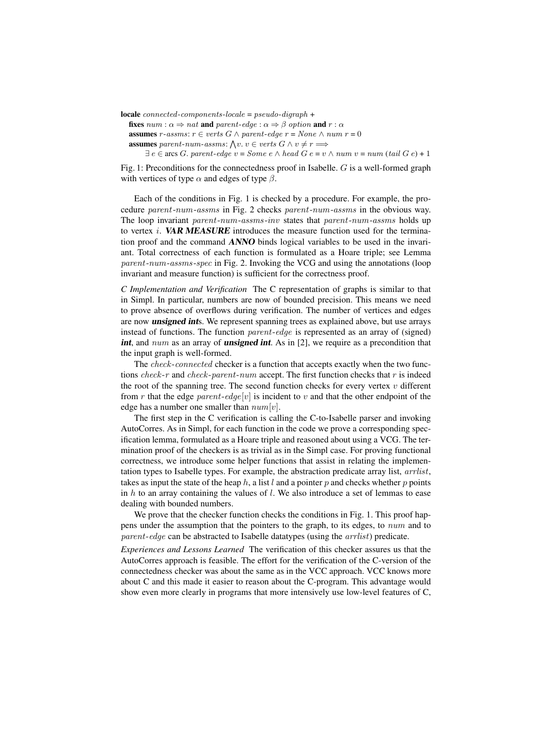**locale** connected-components-locale =  $pseudo\text{-}digraph +$ 

fixes  $num: \alpha \Rightarrow nat$  and  $parent\text{-}edge: \alpha \Rightarrow \beta$   $option$  and  $r: \alpha$ 

**assumes** r-assms:  $r \in \text{verts } G \wedge \text{parent-edge } r = \text{None} \wedge \text{num } r = 0$ 

**assumes** parent-num-assms:  $\bigwedge v. v \in \text{verts } G \land v \neq r \Longrightarrow$ 

 $\exists e \in \text{arcs } G$ . parent-edge  $v = Some e \land head G e = v \land num v = num (tail G e) + 1$ 

Fig. 1: Preconditions for the connectedness proof in Isabelle.  $G$  is a well-formed graph with vertices of type  $\alpha$  and edges of type  $\beta$ .

Each of the conditions in Fig. 1 is checked by a procedure. For example, the procedure parent-num-assms in Fig. 2 checks parent-num-assms in the obvious way. The loop invariant parent-num-assms-inv states that parent-num-assms holds up to vertex i. VAR MEASURE introduces the measure function used for the termination proof and the command **ANNO** binds logical variables to be used in the invariant. Total correctness of each function is formulated as a Hoare triple; see Lemma parent-num-assms-spec in Fig. 2. Invoking the VCG and using the annotations (loop invariant and measure function) is sufficient for the correctness proof.

*C Implementation and Verification* The C representation of graphs is similar to that in Simpl. In particular, numbers are now of bounded precision. This means we need to prove absence of overflows during verification. The number of vertices and edges are now **unsigned ints**. We represent spanning trees as explained above, but use arrays instead of functions. The function *parent-edge* is represented as an array of (signed) int, and num as an array of unsigned int. As in [2], we require as a precondition that the input graph is well-formed.

The *check-connected* checker is a function that accepts exactly when the two functions check-r and check-parent-num accept. The first function checks that r is indeed the root of the spanning tree. The second function checks for every vertex  $v$  different from r that the edge parent-edge[v] is incident to v and that the other endpoint of the edge has a number one smaller than  $num[v]$ .

The first step in the C verification is calling the C-to-Isabelle parser and invoking AutoCorres. As in Simpl, for each function in the code we prove a corresponding specification lemma, formulated as a Hoare triple and reasoned about using a VCG. The termination proof of the checkers is as trivial as in the Simpl case. For proving functional correctness, we introduce some helper functions that assist in relating the implementation types to Isabelle types. For example, the abstraction predicate array list, arrlist, takes as input the state of the heap h, a list l and a pointer p and checks whether p points in  $h$  to an array containing the values of  $l$ . We also introduce a set of lemmas to ease dealing with bounded numbers.

We prove that the checker function checks the conditions in Fig. 1. This proof happens under the assumption that the pointers to the graph, to its edges, to num and to parent-edge can be abstracted to Isabelle datatypes (using the arrlist) predicate.

*Experiences and Lessons Learned* The verification of this checker assures us that the AutoCorres approach is feasible. The effort for the verification of the C-version of the connectedness checker was about the same as in the VCC approach. VCC knows more about C and this made it easier to reason about the C-program. This advantage would show even more clearly in programs that more intensively use low-level features of C,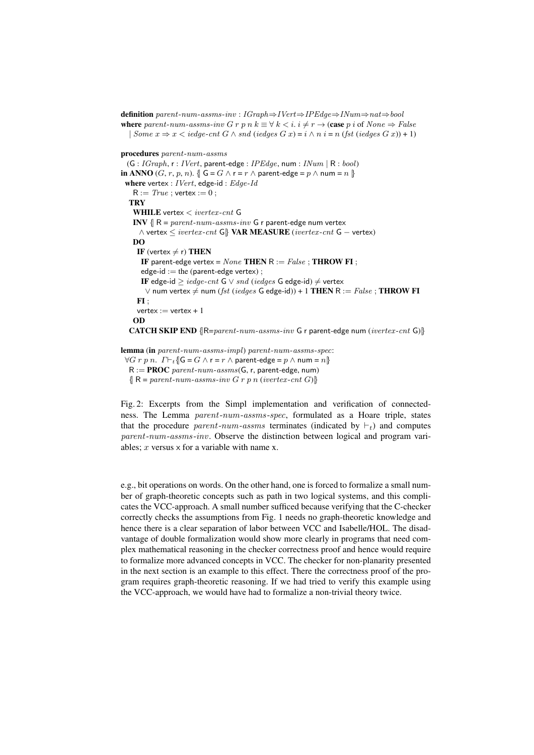definition parent-num-assms-inv : IGraph⇒IVert⇒IPEdge⇒INum⇒nat⇒bool where parent-num-assms-inv G r p n  $k \equiv \forall k \leq i$ .  $i \neq r \rightarrow$  (case p i of None  $\Rightarrow$  False | Some  $x \Rightarrow x < i$ edge-cnt  $G \wedge$  snd (iedges  $G(x) = i \wedge n$  i = n (fst (iedges  $G(x)$ ) + 1)

procedures parent-num-assms

 $(G : IGraph, r : IVert,$  parent-edge :  $IFEdge,$  num :  $INum \mid R : bool$ ) in ANNO  $(G, r, p, n)$ .  $\{G = G \land r = r \land$  parent-edge =  $p \land num = n$ where vertex :  $IVert$ , edge-id :  $Edge$ - $Id$  $R := True$ ; vertex := 0; **TRY** WHILE vertex  $<$  ivertex-cnt  $G$ INV  $\{R = parent-num-assms-inv \}$  r parent-edge num vertex ∧ vertex ≤ ivertex -cnt G|} VAR MEASURE (ivertex -cnt G − vertex) DO IF (vertex  $\neq$  r) THEN IF parent-edge vertex =  $None$  THEN R :=  $False$  ; THROW FI ; edge-id  $:=$  the (parent-edge vertex) ; IF edge-id  $>$  iedge-cnt G  $\vee$  snd (iedges G edge-id)  $\neq$  vertex ∨ num vertex  $\neq$  num (*fst (iedges* G edge-id)) + 1 THEN R := False ; THROW FI  $FI:$ vertex  $:=$  vertex  $+1$ OD CATCH SKIP END  $\{R=parent\text{-}num\text{-}assms\text{-}inv\ \mathsf{G}\ \text{r}$  parent-edge num  $\left(\text{vertex-cnt}\ \mathsf{G}\right)\}$ 

lemma (in parent-num-assms-impl) parent-num-assms-spec:

```
\forall G \ r \ p \ n. \Gamma \vdash_t \{\mathsf{G} = G \land r = r \land \mathsf{parent\text{-}edge} = p \land \mathsf{num} = n\}
```

```
R := PROC parent-num-assms(G, r, parent-edge, num)
```

```
\{R = parent-num\-assms-inv G r p n (vertex-cnt G)\}
```
Fig. 2: Excerpts from the Simpl implementation and verification of connectedness. The Lemma parent-num-assms-spec, formulated as a Hoare triple, states that the procedure parent-num-assms terminates (indicated by  $\vdash_t$ ) and computes parent-num-assms-inv. Observe the distinction between logical and program variables;  $x$  versus  $\times$  for a variable with name x.

e.g., bit operations on words. On the other hand, one is forced to formalize a small number of graph-theoretic concepts such as path in two logical systems, and this complicates the VCC-approach. A small number sufficed because verifying that the C-checker correctly checks the assumptions from Fig. 1 needs no graph-theoretic knowledge and hence there is a clear separation of labor between VCC and Isabelle/HOL. The disadvantage of double formalization would show more clearly in programs that need complex mathematical reasoning in the checker correctness proof and hence would require to formalize more advanced concepts in VCC. The checker for non-planarity presented in the next section is an example to this effect. There the correctness proof of the program requires graph-theoretic reasoning. If we had tried to verify this example using the VCC-approach, we would have had to formalize a non-trivial theory twice.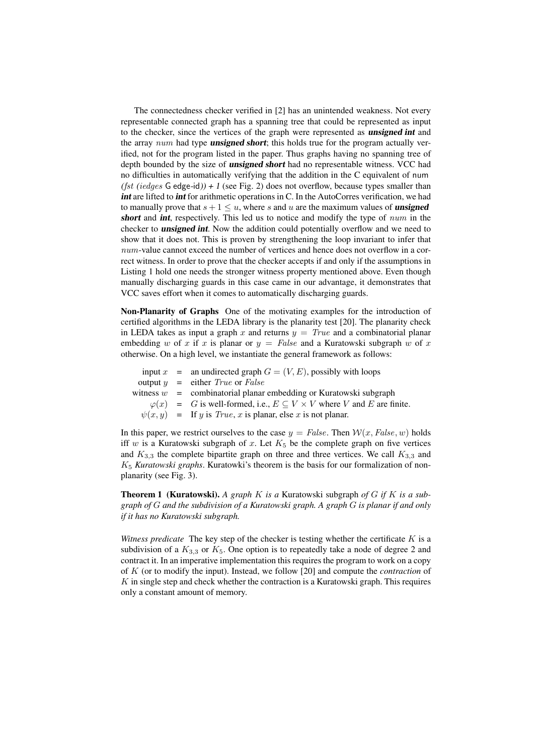The connectedness checker verified in [2] has an unintended weakness. Not every representable connected graph has a spanning tree that could be represented as input to the checker, since the vertices of the graph were represented as **unsigned int** and the array num had type **unsigned short**; this holds true for the program actually verified, not for the program listed in the paper. Thus graphs having no spanning tree of depth bounded by the size of *unsigned short* had no representable witness. VCC had no difficulties in automatically verifying that the addition in the C equivalent of num *(fst (iedges G edge-id)) + 1 (see Fig. 2) does not overflow, because types smaller than* int are lifted to int for arithmetic operations in C. In the AutoCorres verification, we had to manually prove that  $s + 1 \le u$ , where s and u are the maximum values of **unsigned** short and int, respectively. This led us to notice and modify the type of num in the checker to **unsigned int**. Now the addition could potentially overflow and we need to show that it does not. This is proven by strengthening the loop invariant to infer that num-value cannot exceed the number of vertices and hence does not overflow in a correct witness. In order to prove that the checker accepts if and only if the assumptions in Listing 1 hold one needs the stronger witness property mentioned above. Even though manually discharging guards in this case came in our advantage, it demonstrates that VCC saves effort when it comes to automatically discharging guards.

Non-Planarity of Graphs One of the motivating examples for the introduction of certified algorithms in the LEDA library is the planarity test [20]. The planarity check in LEDA takes as input a graph x and returns  $y = True$  and a combinatorial planar embedding w of x if x is planar or  $y = False$  and a Kuratowski subgraph w of x otherwise. On a high level, we instantiate the general framework as follows:

|  | input $x =$ an undirected graph $G = (V, E)$ , possibly with loops                        |
|--|-------------------------------------------------------------------------------------------|
|  | output $y =$ either <i>True</i> or <i>False</i>                                           |
|  | witness $w =$ combinatorial planar embedding or Kuratowski subgraph                       |
|  | $\varphi(x)$ = G is well-formed, i.e., $E \subseteq V \times V$ where V and E are finite. |
|  | $\psi(x, y)$ = If y is <i>True, x</i> is planar, else x is not planar.                    |

In this paper, we restrict ourselves to the case  $y = False$ . Then  $W(x, False, w)$  holds iff w is a Kuratowski subgraph of x. Let  $K_5$  be the complete graph on five vertices and  $K_{3,3}$  the complete bipartite graph on three and three vertices. We call  $K_{3,3}$  and K<sup>5</sup> *Kuratowski graphs*. Kuratowki's theorem is the basis for our formalization of nonplanarity (see Fig. 3).

Theorem 1 (Kuratowski). *A graph* K *is a* Kuratowski subgraph *of* G *if* K *is a subgraph of* G *and the subdivision of a Kuratowski graph. A graph* G *is planar if and only if it has no Kuratowski subgraph.*

*Witness predicate* The key step of the checker is testing whether the certificate K is a subdivision of a  $K_{3,3}$  or  $K_5$ . One option is to repeatedly take a node of degree 2 and contract it. In an imperative implementation this requires the program to work on a copy of K (or to modify the input). Instead, we follow [20] and compute the *contraction* of  $K$  in single step and check whether the contraction is a Kuratowski graph. This requires only a constant amount of memory.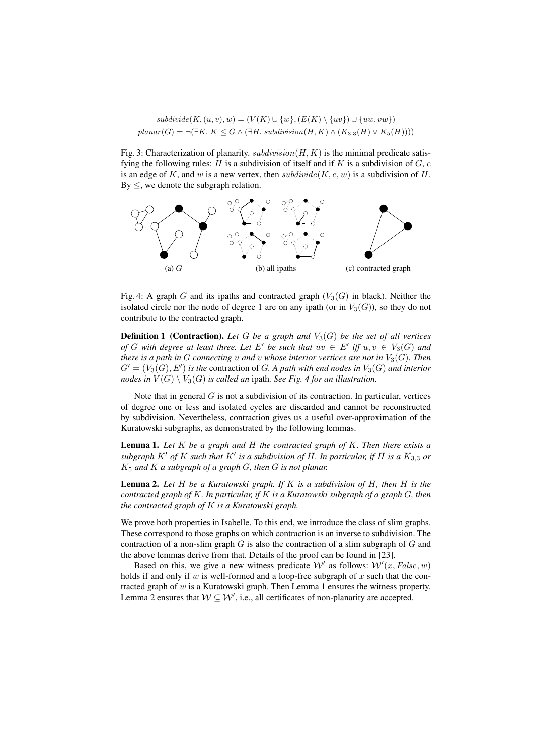$subdivide(K,(u,v),w) = (V(K) \cup \{w\},(E(K) \setminus \{uv\}) \cup \{uw,vw\})$  $planar(G) = \neg(\exists K. K \leq G \land (\exists H. subdivision(H, K) \land (K_{3,3}(H) \lor K_5(H))))$ 

Fig. 3: Characterization of planarity.  $subdivision(H, K)$  is the minimal predicate satisfying the following rules: H is a subdivision of itself and if K is a subdivision of G,  $e$ is an edge of K, and w is a new vertex, then  $subdivide(K, e, w)$  is a subdivision of H. By  $\leq$ , we denote the subgraph relation.



Fig. 4: A graph G and its ipaths and contracted graph  $(V_3(G))$  in black). Neither the isolated circle nor the node of degree 1 are on any ipath (or in  $V_3(G)$ ), so they do not contribute to the contracted graph.

**Definition 1 (Contraction).** Let G be a graph and  $V_3(G)$  be the set of all vertices *of* G with degree at least three. Let E' be such that  $uv \in E'$  iff  $u, v \in V_3(G)$  and *there is a path in* G *connecting* u *and* v *whose interior vertices are not in*  $V_3(G)$ *. Then*  $G' = (V_3(G), E')$  *is the* contraction of G. A path with end nodes in  $V_3(G)$  and interior *nodes in*  $V(G) \setminus V_3(G)$  *is called an ipath. See Fig. 4 for an illustration.* 

Note that in general  $G$  is not a subdivision of its contraction. In particular, vertices of degree one or less and isolated cycles are discarded and cannot be reconstructed by subdivision. Nevertheless, contraction gives us a useful over-approximation of the Kuratowski subgraphs, as demonstrated by the following lemmas.

Lemma 1. *Let* K *be a graph and* H *the contracted graph of* K*. Then there exists a*  $s$ ubgraph  $K'$  of  $K$  such that  $K'$  is a subdivision of H. In particular, if H is a  $K_{3,3}$  or K<sup>5</sup> *and* K *a subgraph of a graph* G*, then* G *is not planar.*

Lemma 2. *Let* H *be a Kuratowski graph. If* K *is a subdivision of* H*, then* H *is the contracted graph of* K*. In particular, if* K *is a Kuratowski subgraph of a graph* G*, then the contracted graph of* K *is a Kuratowski graph.*

We prove both properties in Isabelle. To this end, we introduce the class of slim graphs. These correspond to those graphs on which contraction is an inverse to subdivision. The contraction of a non-slim graph  $G$  is also the contraction of a slim subgraph of  $G$  and the above lemmas derive from that. Details of the proof can be found in [23].

Based on this, we give a new witness predicate  $W'$  as follows:  $W'(x, False, w)$ holds if and only if w is well-formed and a loop-free subgraph of x such that the contracted graph of  $w$  is a Kuratowski graph. Then Lemma 1 ensures the witness property. Lemma 2 ensures that  $W \subseteq W'$ , i.e., all certificates of non-planarity are accepted.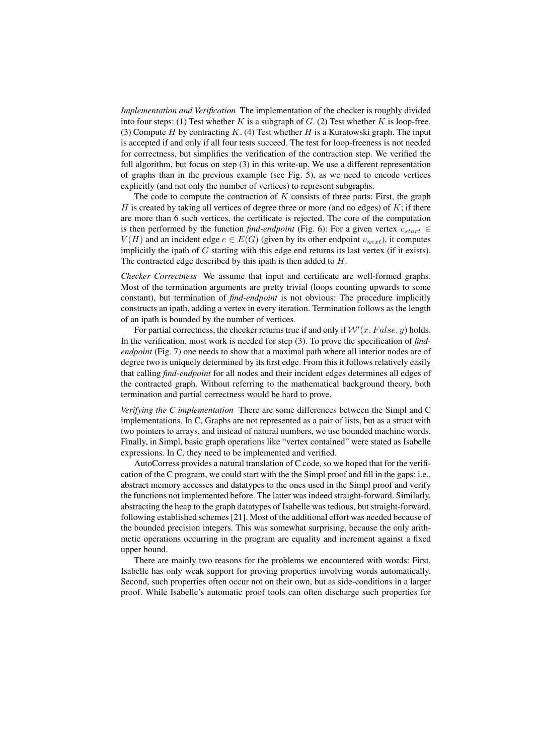*Implementation and Verification* The implementation of the checker is roughly divided into four steps: (1) Test whether K is a subgraph of  $G$ . (2) Test whether K is loop-free. (3) Compute H by contracting  $K$ . (4) Test whether H is a Kuratowski graph. The input is accepted if and only if all four tests succeed. The test for loop-freeness is not needed for correctness, but simplifies the verification of the contraction step. We verified the full algorithm, but focus on step (3) in this write-up. We use a different representation of graphs than in the previous example (see Fig. 5), as we need to encode vertices explicitly (and not only the number of vertices) to represent subgraphs.

The code to compute the contraction of  $K$  consists of three parts: First, the graph H is created by taking all vertices of degree three or more (and no edges) of  $K$ ; if there are more than 6 such vertices, the certificate is rejected. The core of the computation is then performed by the function *find-endpoint* (Fig. 6): For a given vertex  $v_{start} \in$  $V(H)$  and an incident edge  $e \in E(G)$  (given by its other endpoint  $v_{next}$ ), it computes implicitly the ipath of  $G$  starting with this edge end returns its last vertex (if it exists). The contracted edge described by this ipath is then added to  $H$ .

*Checker Correctness* We assume that input and certificate are well-formed graphs. Most of the termination arguments are pretty trivial (loops counting upwards to some constant), but termination of *find-endpoint* is not obvious: The procedure implicitly constructs an ipath, adding a vertex in every iteration. Termination follows as the length of an ipath is bounded by the number of vertices.

For partial correctness, the checker returns true if and only if  $W'(x, False, y)$  holds. In the verification, most work is needed for step (3). To prove the specification of *findendpoint* (Fig. 7) one needs to show that a maximal path where all interior nodes are of degree two is uniquely determined by its first edge. From this it follows relatively easily that calling *find-endpoint* for all nodes and their incident edges determines all edges of the contracted graph. Without referring to the mathematical background theory, both termination and partial correctness would be hard to prove.

*Verifying the C implementation* There are some differences between the Simpl and C implementations. In C, Graphs are not represented as a pair of lists, but as a struct with two pointers to arrays, and instead of natural numbers, we use bounded machine words. Finally, in Simpl, basic graph operations like "vertex contained" were stated as Isabelle expressions. In C, they need to be implemented and verified.

AutoCorress provides a natural translation of C code, so we hoped that for the verification of the C program, we could start with the the Simpl proof and fill in the gaps: i.e., abstract memory accesses and datatypes to the ones used in the Simpl proof and verify the functions not implemented before. The latter was indeed straight-forward. Similarly, abstracting the heap to the graph datatypes of Isabelle was tedious, but straight-forward, following established schemes [21]. Most of the additional effort was needed because of the bounded precision integers. This was somewhat surprising, because the only arithmetic operations occurring in the program are equality and increment against a fixed upper bound.

There are mainly two reasons for the problems we encountered with words: First, Isabelle has only weak support for proving properties involving words automatically. Second, such properties often occur not on their own, but as side-conditions in a larger proof. While Isabelle's automatic proof tools can often discharge such properties for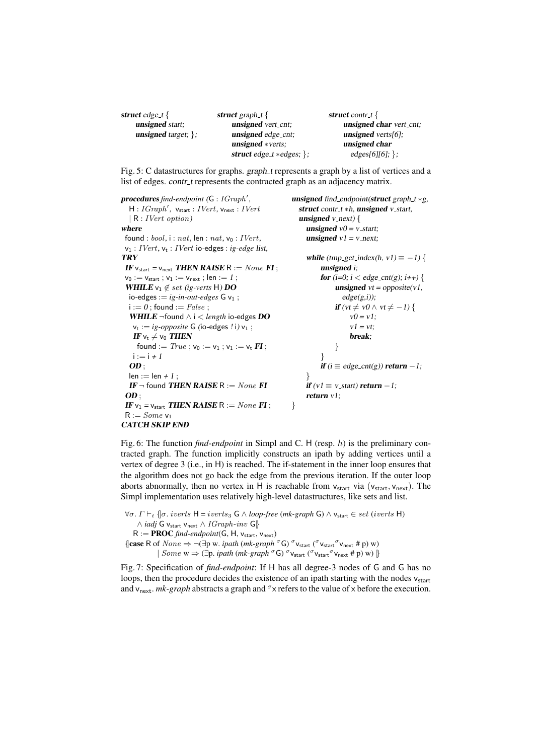| struct edge_t $\{$             | struct graph_t $\{$        | struct contr_t $\{$            |
|--------------------------------|----------------------------|--------------------------------|
| <b>unsigned</b> start:         | <b>unsigned</b> vert_cnt;  | <b>unsigned char vert-cnt:</b> |
| <b>unsigned</b> target; $\}$ ; | <b>unsigned</b> edge_cnt;  | <b>unsigned</b> verts[6]:      |
|                                | unsigned $*$ verts;        | unsigned char                  |
|                                | struct edge_t $*edges;$ }; | edges[6][6]; $};$              |

Fig. 5: C datastructures for graphs. graph\_t represents a graph by a list of vertices and a list of edges. contr\_t represents the contracted graph as an adjacency matrix.

procedures find-endpoint (G: IGraph<sup>'</sup>,  $H: IGraph', v_{start}: IVert, v_{next}: IVert$ | R : IVert option) where found :  $bool$ , i :  $nat$ , len :  $nat$ ,  $v_0$  : IVert, v<sup>1</sup> : IVert, v<sup>t</sup> : IVert io-edges : *ig-edge* list, **TRY**  $\begin{aligned} \textit{\textbf{IF}}~\textit{v}_{\text{start}} = \textit{v}_{\text{next}}~\textit{THEN RASE}~\textit{R} := \textit{None}~\textit{FI}~; \end{aligned}$  $v_0 := v_{start}$ ;  $v_1 := v_{next}$ ; len := 1; WHILE  $v_1 \notin set$  (*ig-verts* H) **DO** io-edges :=  $ig-in-out-edges$  G  $v_1$ ;  $i := 0$ ; found := False; WHILE  $\neg$  found  $\land$  i < *length* io-edges **DO**  $v_t := ig\text{-}opposite G$  (io-edges ! i)  $v_1$ ; IF  $v_t \neq v_0$  THEN found :=  $True$ ;  $v_0 := v_1$ ;  $v_1 := v_t$  **FI**;  $i := i + 1$ OD ;  $len := len + 1$ ;  $IF \neg$  found THEN RAISE  $R := None$  FI OD ; IF  $v_1 = v_{start}$  THEN RAISE R := None FI;  $R := Some$   $v_1$ CATCH SKIP END unsigned find\_endpoint(struct graph\_ $t * g$ , struct contr\_t  $*h$ , unsigned v\_start, unsigned  $v_{\text{next}}$ ) { unsigned  $v0 = v_$ -start; unsigned  $v1 = v$  next; while (tmp\_get\_index(h, v1)  $\equiv -1$ ) { unsigned i; **for** (i=0; i < edge\_cnt(g); i++) { unsigned  $vt = opposite(v1)$ , edge(g,i)); **if** (vt  $\neq$  v0  $\land$  vt  $\neq$  -1) {  $v0 = v1$ ;  $v1 = vt$ ; break; } } **if** ( $i \equiv$  edge\_cnt(g)) **return** −1; } **if** (v1  $\equiv$  v\_start) **return**  $-1$ ; return v1; }

Fig. 6: The function *find-endpoint* in Simpl and C. H (resp. h) is the preliminary contracted graph. The function implicitly constructs an ipath by adding vertices until a vertex of degree 3 (i.e., in H) is reached. The if-statement in the inner loop ensures that the algorithm does not go back the edge from the previous iteration. If the outer loop aborts abnormally, then no vertex in H is reachable from  $v_{start}$  via ( $v_{start}$ ,  $v_{next}$ ). The Simpl implementation uses relatively high-level datastructures, like sets and list.

 $\forall \sigma$ .  $\Gamma \vdash_t \{\!\!\mid\! \sigma.\text{ *iverts* H = *iverts*3 G ∧ *loop-free* (mk-graph G) ∧ v<sub>start</sub> ∈ *set* (*iverts* H)$ ∧ *iadj* G vstart vnext ∧ IGraph-inv G|}  $R := \text{PROC}$  *find-endpoint*(G, H,  $v_{start}$ ,  $v_{next}$ ) {|case R of *None* ⇒ ¬(∃p w. *ipath* (*mk-graph*  $\sigma$  G)  $\sigma$  v<sub>start</sub> ( $\sigma$  v<sub>start</sub>  $\sigma$  v<sub>next</sub> # p) w)  $\mid$  Some  $w \Rightarrow (\exists p. \;ipath \, (mk-graph \, \, \sigma \, G) \, \, \sigma \, v_{start} \, (\, \sigma \, v_{start} \, \sigma \, v_{next} \, \# \, p) \, w) \, \parallel$ 

Fig. 7: Specification of *find-endpoint*: If H has all degree-3 nodes of G and G has no loops, then the procedure decides the existence of an ipath starting with the nodes  $v_{start}$ and v<sub>next</sub>. *mk-graph* abstracts a graph and <sup>σ</sup>x refers to the value of x before the execution.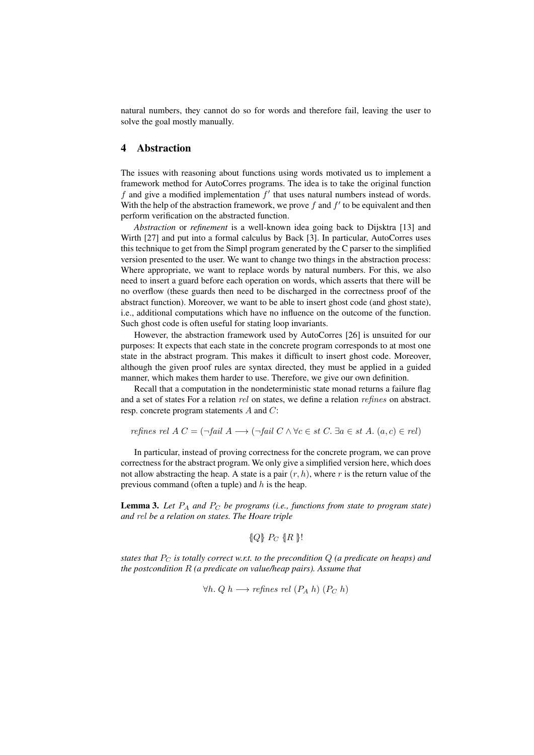natural numbers, they cannot do so for words and therefore fail, leaving the user to solve the goal mostly manually.

### 4 Abstraction

The issues with reasoning about functions using words motivated us to implement a framework method for AutoCorres programs. The idea is to take the original function  $f$  and give a modified implementation  $f'$  that uses natural numbers instead of words. With the help of the abstraction framework, we prove  $f$  and  $f'$  to be equivalent and then perform verification on the abstracted function.

*Abstraction* or *refinement* is a well-known idea going back to Dijsktra [13] and Wirth [27] and put into a formal calculus by Back [3]. In particular, AutoCorres uses this technique to get from the Simpl program generated by the C parser to the simplified version presented to the user. We want to change two things in the abstraction process: Where appropriate, we want to replace words by natural numbers. For this, we also need to insert a guard before each operation on words, which asserts that there will be no overflow (these guards then need to be discharged in the correctness proof of the abstract function). Moreover, we want to be able to insert ghost code (and ghost state), i.e., additional computations which have no influence on the outcome of the function. Such ghost code is often useful for stating loop invariants.

However, the abstraction framework used by AutoCorres [26] is unsuited for our purposes: It expects that each state in the concrete program corresponds to at most one state in the abstract program. This makes it difficult to insert ghost code. Moreover, although the given proof rules are syntax directed, they must be applied in a guided manner, which makes them harder to use. Therefore, we give our own definition.

Recall that a computation in the nondeterministic state monad returns a failure flag and a set of states For a relation rel on states, we define a relation refines on abstract. resp. concrete program statements A and C:

refines rel A  $C = \left(\neg \text{fail } A \longrightarrow (\neg \text{fail } C \land \forall c \in \text{st } C \mathbb{R} \exists a \in \text{st } A \mathbb{R} \mid (a, c) \in \text{rel}\right)$ 

In particular, instead of proving correctness for the concrete program, we can prove correctness for the abstract program. We only give a simplified version here, which does not allow abstracting the heap. A state is a pair  $(r, h)$ , where r is the return value of the previous command (often a tuple) and  $h$  is the heap.

**Lemma 3.** Let  $P_A$  and  $P_C$  be programs (i.e., functions from state to program state) *and* rel *be a relation on states. The Hoare triple*

$$
\{Q\} \; P_C \; \{R \; \}!
$$

*states that*  $P_C$  *is totally correct w.r.t. to the precondition*  $Q$  *(a predicate on heaps) and the postcondition* R *(a predicate on value/heap pairs). Assume that*

 $∀h. Q h \longrightarrow refines rel (P<sub>A</sub> h) (P<sub>C</sub> h)$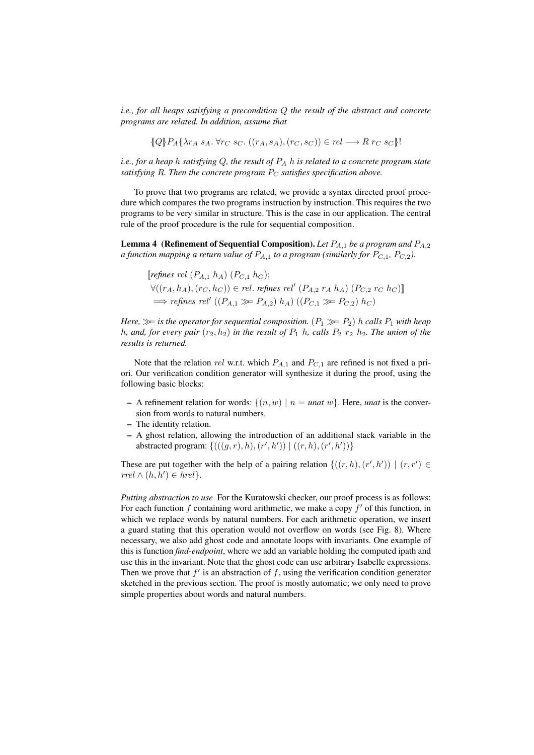*i.e., for all heaps satisfying a precondition* Q *the result of the abstract and concrete programs are related. In addition, assume that*

$$
\{Q\}P_A\{\lambda r_A\ s_A.\ \forall r_C\ s_C.\ ((r_A, s_A), (r_C, s_C))\in rel\longrightarrow R\ r_C\ s_C\}!
$$

*i.e., for a heap* h *satisfying*  $Q$ *, the result of*  $P_A$  h *is related to a concrete program state satisfying*  $R$ *. Then the concrete program*  $P_C$  *satisfies specification above.* 

To prove that two programs are related, we provide a syntax directed proof procedure which compares the two programs instruction by instruction. This requires the two programs to be very similar in structure. This is the case in our application. The central rule of the proof procedure is the rule for sequential composition.

**Lemma 4** (Refinement of Sequential Composition). Let  $P_{A,1}$  be a program and  $P_{A,2}$ *a function mapping a return value of*  $P_{A,1}$  *to a program (similarly for*  $P_{C,1}$ *,*  $P_{C,2}$ *).* 

 $[refines rel (P<sub>A.1</sub> h<sub>A</sub>) (P<sub>C.1</sub> h<sub>C</sub>)$ ;  $\forall ((r_A, h_A), (r_C, h_C)) \in rel.$  *refines*  $rel' (P_{A,2} r_A h_A) (P_{C,2} r_C h_C)$  $\Rightarrow$  refines rel' ((P<sub>A,1</sub>  $\gg$  P<sub>A,2</sub>) h<sub>A</sub>) ((P<sub>C,1</sub>  $\gg$  P<sub>C,2</sub>) h<sub>C</sub>)

*Here,*  $\gg$  *is the operator for sequential composition.*  $(P_1 \gg P_2)$  *h calls*  $P_1$  *with heap h*, and, for every pair  $(r_2, h_2)$  in the result of  $P_1$  *h*, calls  $P_2$   $r_2$   $h_2$ . The union of the *results is returned.*

Note that the relation rel w.r.t. which  $P_{A,1}$  and  $P_{C,1}$  are refined is not fixed a priori. Our verification condition generator will synthesize it during the proof, using the following basic blocks:

- A refinement relation for words:  $\{(n, w) | n = \text{unat } w\}$ . Here, *unat* is the conversion from words to natural numbers.
- The identity relation.
- A ghost relation, allowing the introduction of an additional stack variable in the abstracted program:  $\{(((g, r), h), (r', h')) \mid ((r, h), (r', h'))\}$

These are put together with the help of a pairing relation  $\{((r, h), (r', h')) \mid (r, r') \in$  $rrel \wedge (h, h') \in hrel$ .

*Putting abstraction to use* For the Kuratowski checker, our proof process is as follows: For each function  $f$  containing word arithmetic, we make a copy  $f'$  of this function, in which we replace words by natural numbers. For each arithmetic operation, we insert a guard stating that this operation would not overflow on words (see Fig. 8). Where necessary, we also add ghost code and annotate loops with invariants. One example of this is function *find-endpoint*, where we add an variable holding the computed ipath and use this in the invariant. Note that the ghost code can use arbitrary Isabelle expressions. Then we prove that  $f'$  is an abstraction of  $f$ , using the verification condition generator sketched in the previous section. The proof is mostly automatic; we only need to prove simple properties about words and natural numbers.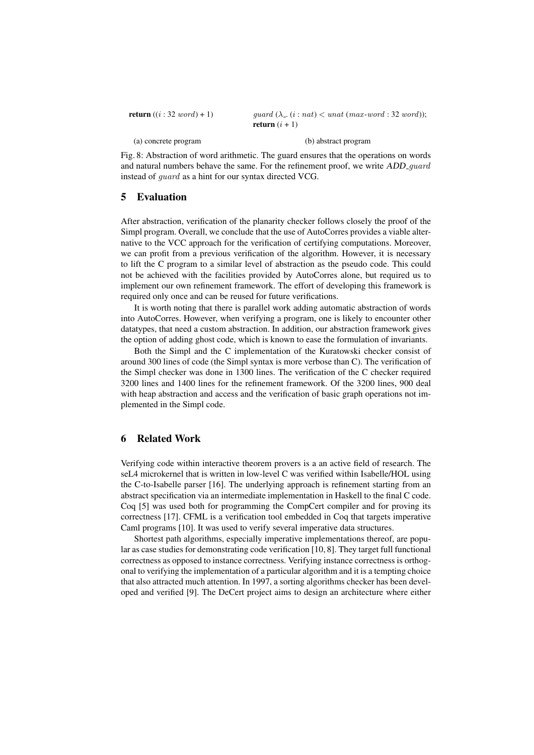return  $((i:32 \text{ word}) + 1)$ 

guard  $(\lambda_-(i : nat) < unat$  (max-word : 32 word)); return  $(i + 1)$ 

(a) concrete program

#### (b) abstract program

Fig. 8: Abstraction of word arithmetic. The guard ensures that the operations on words and natural numbers behave the same. For the refinement proof, we write *ADD<sub>-quard</sub>* instead of guard as a hint for our syntax directed VCG.

### 5 Evaluation

After abstraction, verification of the planarity checker follows closely the proof of the Simpl program. Overall, we conclude that the use of AutoCorres provides a viable alternative to the VCC approach for the verification of certifying computations. Moreover, we can profit from a previous verification of the algorithm. However, it is necessary to lift the C program to a similar level of abstraction as the pseudo code. This could not be achieved with the facilities provided by AutoCorres alone, but required us to implement our own refinement framework. The effort of developing this framework is required only once and can be reused for future verifications.

It is worth noting that there is parallel work adding automatic abstraction of words into AutoCorres. However, when verifying a program, one is likely to encounter other datatypes, that need a custom abstraction. In addition, our abstraction framework gives the option of adding ghost code, which is known to ease the formulation of invariants.

Both the Simpl and the C implementation of the Kuratowski checker consist of around 300 lines of code (the Simpl syntax is more verbose than C). The verification of the Simpl checker was done in 1300 lines. The verification of the C checker required 3200 lines and 1400 lines for the refinement framework. Of the 3200 lines, 900 deal with heap abstraction and access and the verification of basic graph operations not implemented in the Simpl code.

## 6 Related Work

Verifying code within interactive theorem provers is a an active field of research. The seL4 microkernel that is written in low-level C was verified within Isabelle/HOL using the C-to-Isabelle parser [16]. The underlying approach is refinement starting from an abstract specification via an intermediate implementation in Haskell to the final C code. Coq [5] was used both for programming the CompCert compiler and for proving its correctness [17]. CFML is a verification tool embedded in Coq that targets imperative Caml programs [10]. It was used to verify several imperative data structures.

Shortest path algorithms, especially imperative implementations thereof, are popular as case studies for demonstrating code verification [10, 8]. They target full functional correctness as opposed to instance correctness. Verifying instance correctness is orthogonal to verifying the implementation of a particular algorithm and it is a tempting choice that also attracted much attention. In 1997, a sorting algorithms checker has been developed and verified [9]. The DeCert project aims to design an architecture where either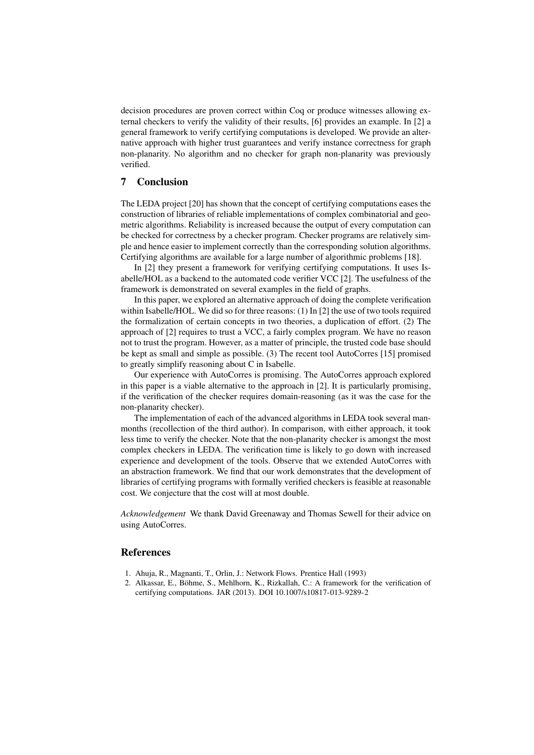decision procedures are proven correct within Coq or produce witnesses allowing external checkers to verify the validity of their results, [6] provides an example. In [2] a general framework to verify certifying computations is developed. We provide an alternative approach with higher trust guarantees and verify instance correctness for graph non-planarity. No algorithm and no checker for graph non-planarity was previously verified.

# 7 Conclusion

The LEDA project [20] has shown that the concept of certifying computations eases the construction of libraries of reliable implementations of complex combinatorial and geometric algorithms. Reliability is increased because the output of every computation can be checked for correctness by a checker program. Checker programs are relatively simple and hence easier to implement correctly than the corresponding solution algorithms. Certifying algorithms are available for a large number of algorithmic problems [18].

In [2] they present a framework for verifying certifying computations. It uses Isabelle/HOL as a backend to the automated code verifier VCC [2]. The usefulness of the framework is demonstrated on several examples in the field of graphs.

In this paper, we explored an alternative approach of doing the complete verification within Isabelle/HOL. We did so for three reasons: (1) In [2] the use of two tools required the formalization of certain concepts in two theories, a duplication of effort. (2) The approach of [2] requires to trust a VCC, a fairly complex program. We have no reason not to trust the program. However, as a matter of principle, the trusted code base should be kept as small and simple as possible. (3) The recent tool AutoCorres [15] promised to greatly simplify reasoning about C in Isabelle.

Our experience with AutoCorres is promising. The AutoCorres approach explored in this paper is a viable alternative to the approach in [2]. It is particularly promising, if the verification of the checker requires domain-reasoning (as it was the case for the non-planarity checker).

The implementation of each of the advanced algorithms in LEDA took several manmonths (recollection of the third author). In comparison, with either approach, it took less time to verify the checker. Note that the non-planarity checker is amongst the most complex checkers in LEDA. The verification time is likely to go down with increased experience and development of the tools. Observe that we extended AutoCorres with an abstraction framework. We find that our work demonstrates that the development of libraries of certifying programs with formally verified checkers is feasible at reasonable cost. We conjecture that the cost will at most double.

*Acknowledgement* We thank David Greenaway and Thomas Sewell for their advice on using AutoCorres.

### References

- 1. Ahuja, R., Magnanti, T., Orlin, J.: Network Flows. Prentice Hall (1993)
- 2. Alkassar, E., Böhme, S., Mehlhorn, K., Rizkallah, C.: A framework for the verification of certifying computations. JAR (2013). DOI 10.1007/s10817-013-9289-2